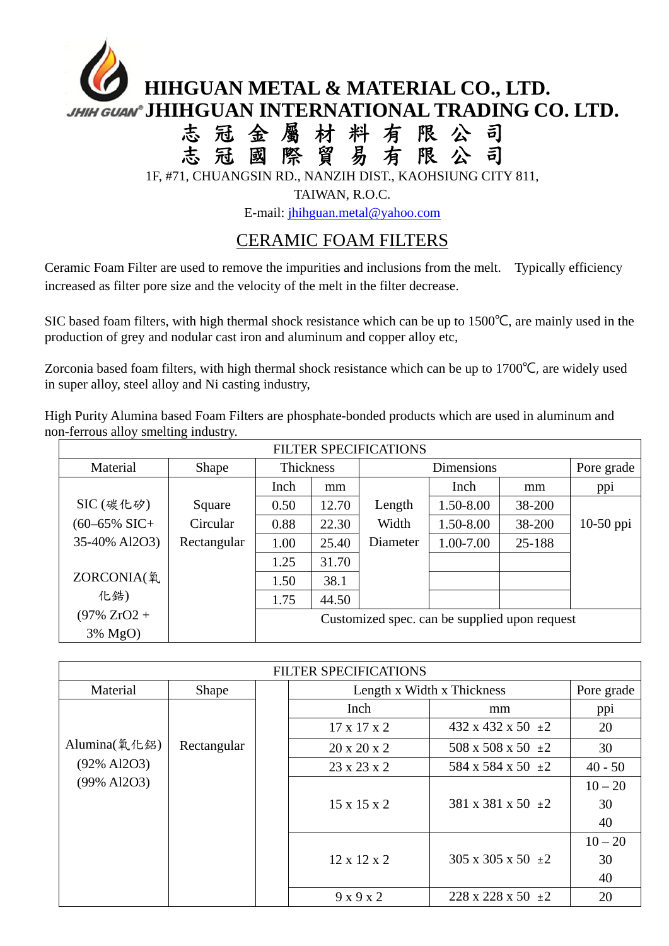## **JHIHGUAN METAL & MATERIAL CO., LTD. JHIGUAN<sup>®</sup>** JHIHGUAN INTERNATIONAL TRADING CO. LTD. 志 冠 金 屬 材 料 有 限 公 司 志 冠 國 際 貿 易 有 限 公 司 1F, #71, CHUANGSIN RD., NANZIH DIST., KAOHSIUNG CITY 811,

TAIWAN, R.O.C.

E-mail: jhihguan.metal@yahoo.com

## CERAMIC FOAM FILTERS

Ceramic Foam Filter are used to remove the impurities and inclusions from the melt. Typically efficiency increased as filter pore size and the velocity of the melt in the filter decrease.

SIC based foam filters, with high thermal shock resistance which can be up to 1500℃, are mainly used in the production of grey and nodular cast iron and aluminum and copper alloy etc,

Zorconia based foam filters, with high thermal shock resistance which can be up to 1700℃, are widely used in super alloy, steel alloy and Ni casting industry,

High Purity Alumina based Foam Filters are phosphate-bonded products which are used in aluminum and non-ferrous alloy smelting industry.

| <b>FILTER SPECIFICATIONS</b> |             |                                               |       |            |           |        |             |  |
|------------------------------|-------------|-----------------------------------------------|-------|------------|-----------|--------|-------------|--|
| Material                     | Shape       | Thickness                                     |       | Dimensions |           |        | Pore grade  |  |
|                              |             | Inch                                          | mm    |            | Inch      | mm     | ppi         |  |
| $SIC$ (碳化矽)                  | Square      | 0.50                                          | 12.70 | Length     | 1.50-8.00 | 38-200 |             |  |
| $(60 - 65\% \text{ SIC} +$   | Circular    | 0.88                                          | 22.30 | Width      | 1.50-8.00 | 38-200 | $10-50$ ppi |  |
| 35-40% Al2O3)                | Rectangular | 1.00                                          | 25.40 | Diameter   | 1.00-7.00 | 25-188 |             |  |
|                              |             | 1.25                                          | 31.70 |            |           |        |             |  |
| ZORCONIA(氧                   |             | 1.50                                          | 38.1  |            |           |        |             |  |
| 化鋯)                          |             | 1.75                                          | 44.50 |            |           |        |             |  |
| $(97\%$ ZrO2 +               |             | Customized spec. can be supplied upon request |       |            |           |        |             |  |
| 3% MgO)                      |             |                                               |       |            |           |        |             |  |

| FILTER SPECIFICATIONS |             |  |                            |                                  |           |  |  |
|-----------------------|-------------|--|----------------------------|----------------------------------|-----------|--|--|
| Material              | Shape       |  | Length x Width x Thickness | Pore grade                       |           |  |  |
|                       |             |  | Inch                       | mm                               | ppi       |  |  |
|                       |             |  | $17 \times 17 \times 2$    | $432 \times 432 \times 50 \pm 2$ | 20        |  |  |
| Alumina(氧化鋁)          | Rectangular |  | $20 \times 20 \times 2$    | $508 \times 508 \times 50 \pm 2$ | 30        |  |  |
| $(92\%$ Al2O3)        |             |  | $23 \times 23 \times 2$    | 584 x 584 x 50 $\pm 2$           | $40 - 50$ |  |  |
| (99% Al2O3)           |             |  |                            |                                  | $10 - 20$ |  |  |
|                       |             |  | $15 \times 15 \times 2$    | 381 x 381 x 50 $\pm 2$           | 30        |  |  |
|                       |             |  |                            |                                  | 40        |  |  |
|                       |             |  |                            |                                  | $10 - 20$ |  |  |
|                       |             |  | $12 \times 12 \times 2$    | $305 \times 305 \times 50 \pm 2$ | 30        |  |  |
|                       |             |  |                            |                                  | 40        |  |  |
|                       |             |  | 9x9x2                      | $228 \times 228 \times 50 \pm 2$ | 20        |  |  |